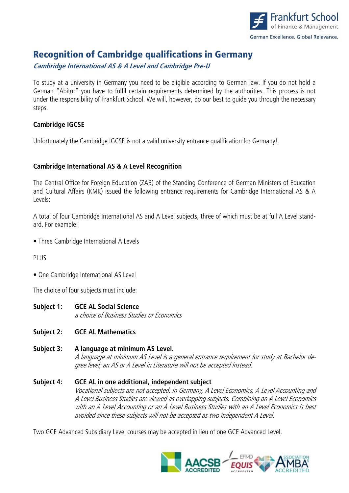

# Recognition of Cambridge qualifications in Germany

**Cambridge International AS & A Level and Cambridge Pre-U** 

To study at a university in Germany you need to be eligible according to German law. If you do not hold a German "Abitur" you have to fulfil certain requirements determined by the authorities. This process is not under the responsibility of Frankfurt School. We will, however, do our best to guide you through the necessary steps.

## **Cambridge IGCSE**

Unfortunately the Cambridge IGCSE is not a valid university entrance qualification for Germany!

## **Cambridge International AS & A Level Recognition**

The Central Office for Foreign Education (ZAB) of the Standing Conference of German Ministers of Education and Cultural Affairs (KMK) issued the following entrance requirements for Cambridge International AS & A Levels:

A total of four Cambridge International AS and A Level subjects, three of which must be at full A Level standard. For example:

• Three Cambridge International A Levels

PLUS

• One Cambridge International AS Level

The choice of four subjects must include:

- **Subject 1: GCE AL Social Science**  a choice of Business Studies or Economics
- **Subject 2: GCE AL Mathematics**
- **Subject 3: A language at minimum AS Level.**  A language at minimum AS Level is a general entrance requirement for study at Bachelor degree level; an AS or A Level in Literature will not be accepted instead.

#### **Subject 4: GCE AL in one additional, independent subject** Vocational subjects are not accepted. In Germany, A Level Economics, A Level Accounting and A Level Business Studies are viewed as overlapping subjects. Combining an A Level Economics with an A Level Accounting or an A Level Business Studies with an A Level Economics is best avoided since these subjects will not be accepted as two independent A Level.

Two GCE Advanced Subsidiary Level courses may be accepted in lieu of one GCE Advanced Level.